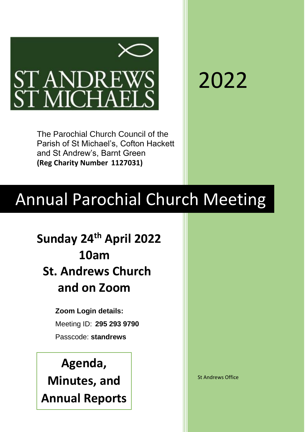

2022

The Parochial Church Council of the Parish of St Michael's, Cofton Hackett and St Andrew's, Barnt Green **(Reg Charity Number 1127031)**

# Annual Parochial Church Meeting

**Sunday 24th April 2022 10am St. Andrews Church and on Zoom**

> **Zoom Login details:** Meeting ID: **295 293 9790** Passcode: **standrews**

**Agenda, Minutes, and Annual Reports**

St Andrews Office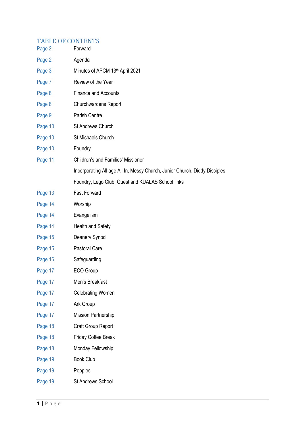# TABLE OF CONTENTS

| Page 2  | Forward                                                                    |  |  |
|---------|----------------------------------------------------------------------------|--|--|
| Page 2  | Agenda                                                                     |  |  |
| Page 3  | Minutes of APCM 13th April 2021                                            |  |  |
| Page 7  | Review of the Year                                                         |  |  |
| Page 8  | <b>Finance and Accounts</b>                                                |  |  |
| Page 8  | <b>Churchwardens Report</b>                                                |  |  |
| Page 9  | Parish Centre                                                              |  |  |
| Page 10 | St Andrews Church                                                          |  |  |
| Page 10 | St Michaels Church                                                         |  |  |
| Page 10 | Foundry                                                                    |  |  |
| Page 11 | <b>Children's and Families' Missioner</b>                                  |  |  |
|         | Incorporating All age All In, Messy Church, Junior Church, Diddy Disciples |  |  |
|         | Foundry, Lego Club, Quest and KUALAS School links                          |  |  |
| Page 13 | <b>Fast Forward</b>                                                        |  |  |
| Page 14 | Worship                                                                    |  |  |
| Page 14 | Evangelism                                                                 |  |  |
| Page 14 | Health and Safety                                                          |  |  |
| Page 15 | Deanery Synod                                                              |  |  |
| Page 15 | Pastoral Care                                                              |  |  |
| Page 16 | Safeguarding                                                               |  |  |
| Page 17 | ECO Group                                                                  |  |  |
| Page 17 | Men's Breakfast                                                            |  |  |
| Page 17 | <b>Celebrating Women</b>                                                   |  |  |
| Page 17 | Ark Group                                                                  |  |  |
| Page 17 | <b>Mission Partnership</b>                                                 |  |  |
| Page 18 | Craft Group Report                                                         |  |  |
| Page 18 | Friday Coffee Break                                                        |  |  |
| Page 18 | Monday Fellowship                                                          |  |  |
| Page 19 | <b>Book Club</b>                                                           |  |  |
| Page 19 | Poppies                                                                    |  |  |
| Page 19 | St Andrews School                                                          |  |  |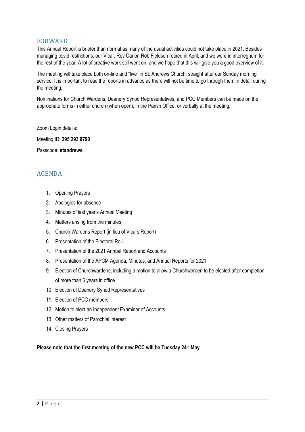## FORWARD

This Annual Report is briefer than normal as many of the usual activities could not take place in 2021. Besides managing covid restrictions, our Vicar, Rev Canon Rob Fieldson retired in April, and we were in interregnum for the rest of the year. A lot of creative work still went on, and we hope that this will give you a good overview of it.

The meeting will take place both on-line and "live" in St. Andrews Church, straight after our Sunday morning service. It is important to read the reports in advance as there will not be time to go through them in detail during the meeting.

Nominations for Church Wardens, Deanery Synod Representatives, and PCC Members can be made on the appropriate forms in either church (when open), in the Parish Office, or verbally at the meeting.

Zoom Login details:

Meeting ID: **295 293 9790**

Passcode: **standrews**

# AGENDA

- 1. Opening Prayers
- 2. Apologies for absence
- 3. Minutes of last year's Annual Meeting
- 4. Matters arising from the minutes
- 5. Church Wardens Report (in lieu of Vicars Report)
- 6. Presentation of the Electoral Roll
- 7. Presentation of the 2021 Annual Report and Accounts
- 8. Presentation of the APCM Agenda, Minutes, and Annual Reports for 2021
- 9. Election of Churchwardens, including a motion to allow a Churchwarden to be elected after completion of more than 6 years in office.
- 10. Election of Deanery Synod Representatives
- 11. Election of PCC members
- 12. Motion to elect an Independent Examiner of Accounts
- 13. Other matters of Parochial interest
- 14. Closing Prayers

**Please note that the first meeting of the new PCC will be Tuesday 24th May**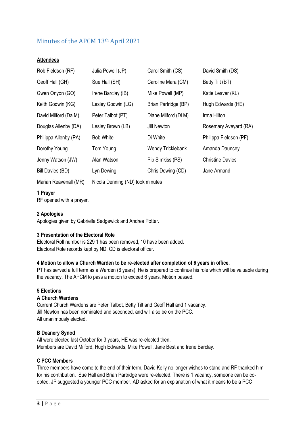# Minutes of the APCM 13th April 2021

#### **Attendees**

| Rob Fieldson (RF)     | Julia Powell (JP)                | Carol Smith (CS)         | David Smith (DS)        |
|-----------------------|----------------------------------|--------------------------|-------------------------|
| Geoff Hall (GH)       | Sue Hall (SH)                    | Caroline Mara (CM)       | Betty Tilt (BT)         |
| Gwen Onyon (GO)       | Irene Barclay (IB)               | Mike Powell (MP)         | Katie Leaver (KL)       |
| Keith Godwin (KG)     | Lesley Godwin (LG)               | Brian Partridge (BP)     | Hugh Edwards (HE)       |
| David Milford (Da M)  | Peter Talbot (PT)                | Diane Milford (Di M)     | Irma Hilton             |
| Douglas Allenby (DA)  | Lesley Brown (LB)                | Jill Newton              | Rosemary Aveyard (RA)   |
| Philippa Allenby (PA) | <b>Bob White</b>                 | Di White                 | Philippa Fieldson (PF)  |
| Dorothy Young         | Tom Young                        | <b>Wendy Tricklebank</b> | Amanda Dauncey          |
| Jenny Watson (JW)     | Alan Watson                      | Pip Simkiss (PS)         | <b>Christine Davies</b> |
| Bill Davies (BD)      | Lyn Dewing                       | Chris Dewing (CD)        | Jane Armand             |
| Marian Reavenall (MR) | Nicola Denning (ND) took minutes |                          |                         |

#### **1 Prayer**

RF opened with a prayer.

#### **2 Apologies**

Apologies given by Gabrielle Sedgewick and Andrea Potter.

#### **3 Presentation of the Electoral Role**

Electoral Roll number is 229 1 has been removed, 10 have been added. Electoral Role records kept by ND, CD is electoral officer.

#### **4 Motion to allow a Church Warden to be re-elected after completion of 6 years in office.**

PT has served a full term as a Warden (6 years). He is prepared to continue his role which will be valuable during the vacancy. The APCM to pass a motion to exceed 6 years. Motion passed.

## **5 Elections**

#### **A Church Wardens**

Current Church Wardens are Peter Talbot, Betty Tilt and Geoff Hall and 1 vacancy. Jill Newton has been nominated and seconded, and will also be on the PCC. All unanimously elected.

#### **B Deanery Synod**

All were elected last October for 3 years, HE was re-elected then. Members are David Milford, Hugh Edwards, Mike Powell, Jane Best and Irene Barclay.

#### **C PCC Members**

Three members have come to the end of their term, David Kelly no longer wishes to stand and RF thanked him for his contribution. Sue Hall and Brian Partridge were re-elected. There is 1 vacancy, someone can be coopted. JP suggested a younger PCC member. AD asked for an explanation of what it means to be a PCC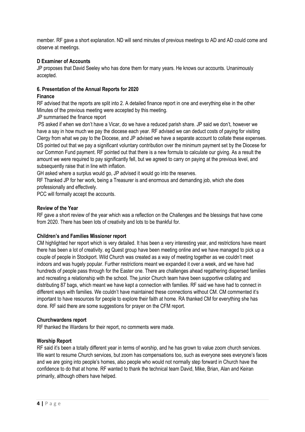member. RF gave a short explanation. ND will send minutes of previous meetings to AD and AD could come and observe at meetings.

#### **D Examiner of Accounts**

JP proposes that David Seeley who has done them for many years. He knows our accounts. Unanimously accepted.

## **6. Presentation of the Annual Reports for 2020**

#### **Finance**

RF advised that the reports are split into 2. A detailed finance report in one and everything else in the other Minutes of the previous meeting were accepted by this meeting.

JP summarised the finance report

PS asked if when we don't have a Vicar, do we have a reduced parish share. JP said we don't, however we have a say in how much we pay the diocese each year. RF advised we can deduct costs of paying for visiting Clergy from what we pay to the Diocese, and JP advised we have a separate account to collate these expenses. DS pointed out that we pay a significant voluntary contribution over the minimum payment set by the Diocese for our Common Fund payment. RF pointed out that there is a new formula to calculate our giving. As a result the amount we were required to pay significantly fell, but we agreed to carry on paying at the previous level, and subsequently raise that in line with inflation.

GH asked where a surplus would go, JP advised it would go into the reserves.

RF Thanked JP for her work, being a Treasurer is and enormous and demanding job, which she does professionally and effectively.

PCC will formally accept the accounts.

#### **Review of the Year**

RF gave a short review of the year which was a reflection on the Challenges and the blessings that have come from 2020. There has been lots of creativity and lots to be thankful for.

#### **Children's and Families Missioner report**

CM highlighted her report which is very detailed. It has been a very interesting year, and restrictions have meant there has been a lot of creativity. eg Quest group have been meeting online and we have managed to pick up a couple of people in Stockport. Wild Church was created as a way of meeting together as we couldn't meet indoors and was hugely popular. Further restrictions meant we expanded it over a week, and we have had hundreds of people pass through for the Easter one. There are challenges ahead regathering dispersed families and recreating a relationship with the school. The junior Church team have been supportive collating and distributing 87 bags, which meant we have kept a connection with families. RF said we have had to connect in different ways with families. We couldn't have maintained these connections without CM. CM commented it's important to have resources for people to explore their faith at home. RA thanked CM for everything she has done. RF said there are some suggestions for prayer on the CFM report.

#### **Churchwardens report**

RF thanked the Wardens for their report, no comments were made.

#### **Worship Report**

RF said it's been a totally different year in terms of worship, and he has grown to value zoom church services. We want to resume Church services, but zoom has compensations too, such as everyone sees everyone's faces and we are going into people's homes, also people who would not normally step forward in Church have the confidence to do that at home. RF wanted to thank the technical team David, Mike, Brian, Alan and Keiran primarily, although others have helped.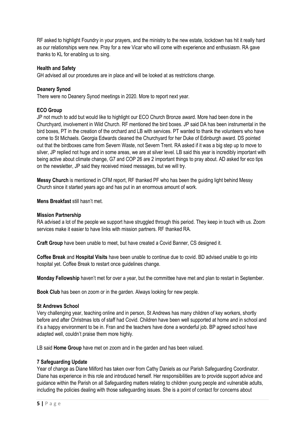RF asked to highlight Foundry in your prayers, and the ministry to the new estate, lockdown has hit it really hard as our relationships were new. Pray for a new Vicar who will come with experience and enthusiasm. RA gave thanks to KL for enabling us to sing.

#### **Health and Safety**

GH advised all our procedures are in place and will be looked at as restrictions change.

## **Deanery Synod**

There were no Deanery Synod meetings in 2020. More to report next year.

#### **ECO Group**

JP not much to add but would like to highlight our ECO Church Bronze award. More had been done in the Churchyard, involvement in Wild Church. RF mentioned the bird boxes. JP said DA has been instrumental in the bird boxes, PT in the creation of the orchard and LB with services. PT wanted to thank the volunteers who have come to St Michaels. Georgia Edwards cleaned the Churchyard for her Duke of Edinburgh award. DS pointed out that the birdboxes came from Severn Waste, not Severn Trent. RA asked if it was a big step up to move to silver, JP replied not huge and in some areas, we are at silver level. LB said this year is incredibly important with being active about climate change, G7 and COP 26 are 2 important things to pray about. AD asked for eco tips on the newsletter, JP said they received mixed messages, but we will try.

**Messy Church** is mentioned in CFM report, RF thanked PF who has been the guiding light behind Messy Church since it started years ago and has put in an enormous amount of work.

**Mens Breakfast** still hasn't met.

#### **Mission Partnership**

RA advised a lot of the people we support have struggled through this period. They keep in touch with us. Zoom services make it easier to have links with mission partners. RF thanked RA.

**Craft Group** have been unable to meet, but have created a Covid Banner, CS designed it.

**Coffee Break** and **Hospital Visits** have been unable to continue due to covid. BD advised unable to go into hospital yet. Coffee Break to restart once guidelines change.

**Monday Fellowship** haven't met for over a year, but the committee have met and plan to restart in September.

**Book Club** has been on zoom or in the garden. Always looking for new people.

#### **St Andrews School**

Very challenging year, teaching online and in person, St Andrews has many children of key workers, shortly before and after Christmas lots of staff had Covid. Children have been well supported at home and in school and it's a happy environment to be in. Fran and the teachers have done a wonderful job. BP agreed school have adapted well, couldn't praise them more highly.

LB said **Home Group** have met on zoom and in the garden and has been valued.

#### **7 Safeguarding Update**

Year of change as Diane Milford has taken over from Cathy Daniels as our Parish Safeguarding Coordinator. Diane has experience in this role and introduced herself. Her responsibilities are to provide support advice and guidance within the Parish on all Safeguarding matters relating to children young people and vulnerable adults, including the policies dealing with those safeguarding issues. She is a point of contact for concerns about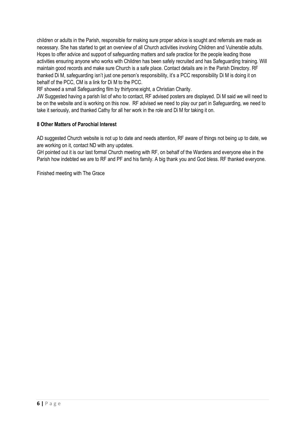children or adults in the Parish, responsible for making sure proper advice is sought and referrals are made as necessary. She has started to get an overview of all Church activities involving Children and Vulnerable adults. Hopes to offer advice and support of safeguarding matters and safe practice for the people leading those activities ensuring anyone who works with Children has been safely recruited and has Safeguarding training. Will maintain good records and make sure Church is a safe place. Contact details are in the Parish Directory. RF thanked Di M, safeguarding isn't just one person's responsibility, it's a PCC responsibility Di M is doing it on behalf of the PCC, CM is a link for Di M to the PCC.

RF showed a small Safeguarding film by thirtyone:eight, a Christian Charity.

JW Suggested having a parish list of who to contact, RF advised posters are displayed. Di M said we will need to be on the website and is working on this now. RF advised we need to play our part in Safeguarding, we need to take it seriously, and thanked Cathy for all her work in the role and Di M for taking it on.

## **8 Other Matters of Parochial Interest**

AD suggested Church website is not up to date and needs attention, RF aware of things not being up to date, we are working on it, contact ND with any updates.

GH pointed out it is our last formal Church meeting with RF, on behalf of the Wardens and everyone else in the Parish how indebted we are to RF and PF and his family. A big thank you and God bless. RF thanked everyone.

Finished meeting with The Grace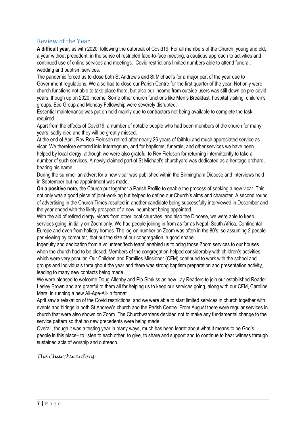# Review of the Year

**A difficult year**, as with 2020, following the outbreak of Covid19. For all members of the Church, young and old, a year without precedent, in the sense of restricted face-to-face meeting, a cautious approach to activities and continued use of online services and meetings. Covid restrictions limited numbers able to attend funeral, wedding and baptism services.

The pandemic forced us to close both St Andrew's and St Michael's for a major part of the year due to Government regulations. We also had to close our Parish Centre for the first quarter of the year. Not only were church functions not able to take place there, but also our income from outside users was still down on pre-covid years, though up on 2020 income. Some other church functions like Men's Breakfast, hospital visiting, children's groups, Eco Group and Monday Fellowship were severely disrupted.

Essential maintenance was put on hold mainly due to contractors not being available to complete the task required.

Apart from the effects of Covid19, a number of notable people who had been members of the church for many years, sadly died and they will be greatly missed.

At the end of April, Rev Rob Fieldson retired after nearly 26 years of faithful and much appreciated service as vicar. We therefore entered into Interregnum, and for baptisms, funerals, and other services we have been helped by local clergy, although we were also grateful to Rev Fieldson for returning intermittently to take a number of such services. A newly claimed part of St Michael's churchyard was dedicated as a heritage orchard, bearing his name.

During the summer an advert for a new vicar was published within the Birmingham Diocese and interviews held in September but no appointment was made.

**On a positive note,** the Church put together a Parish Profile to enable the process of seeking a new vicar. This not only was a good piece of joint-working but helped to define our Church's aims and character. A second round of advertising in the Church Times resulted in another candidate being successfully interviewed in December and the year ended with the likely prospect of a new incumbent being appointed.

With the aid of retired clergy, vicars from other local churches, and also the Diocese, we were able to keep services going, initially on Zoom only. We had people joining in from as far as Nepal, South Africa, Continental Europe and even from holiday homes. The log-on number on Zoom was often in the 80's, so assuming 2 people per viewing by computer, that put the size of our congregation in good shape.

Ingenuity and dedication from a volunteer 'tech team' enabled us to bring those Zoom services to our houses when the church had to be closed. Members of the congregation helped considerably with children's activities, which were very popular. Our Children and Families Missioner (CFM) continued to work with the school and groups and individuals throughout the year and there was strong baptism preparation and presentation activity, leading to many new contacts being made.

We were pleased to welcome Doug Allenby and Pip Simkiss as new Lay Readers to join our established Reader, Lesley Brown and are grateful to them all for helping us to keep our services going, along with our CFM, Caroline Mara, in running a new All-Age-All-In format.

April saw a relaxation of the Covid restrictions, and we were able to start limited services in church together with events and hirings in both St Andrew's church and the Parish Centre. From August there were regular services in church that were also shown on Zoom. The Churchwardens decided not to make any fundamental change to the service pattern so that no new precedents were being made

Overall, though it was a testing year in many ways, much has been learnt about what it means to be God's people in this place– to listen to each other, to give, to share and support and to continue to bear witness through sustained acts of worship and outreach.

*The Churchwardens*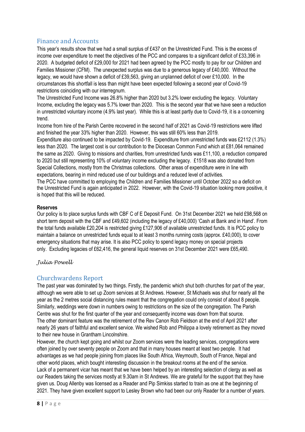# Finance and Accounts

This year's results show that we had a small surplus of £437 on the Unrestricted Fund. This is the excess of income over expenditure to meet the objectives of the PCC and compares to a significant deficit of £33,396 in 2020. A budgeted deficit of £29,000 for 2021 had been agreed by the PCC mostly to pay for our Children and Families Missioner (CFM). The unexpected surplus was due to a generous legacy of £40,000. Without the legacy, we would have shown a deficit of £39,563, giving an unplanned deficit of over £10,000. In the circumstances this shortfall is less than might have been expected following a second year of Covid-19 restrictions coinciding with our interregnum.

The Unrestricted Fund Income was 26.8% higher than 2020 but 3.2% lower excluding the legacy. Voluntary Income, excluding the legacy was 5.7% lower than 2020. This is the second year that we have seen a reduction in unrestricted voluntary income (4.9% last year). While this is at least partly due to Covid-19, it is a concerning trend.

Income from hire of the Parish Centre recovered in the second half of 2021 as Covid-19 restrictions were lifted and finished the year 33% higher than 2020. However, this was still 60% less than 2019.

Expenditure also continued to be impacted by Covid-19. Expenditure from unrestricted funds was £2112 (1.3%) less than 2020. The largest cost is our contribution to the Diocesan Common Fund which at £81,064 remained the same as 2020. Giving to missions and charities, from unrestricted funds was £11,100, a reduction compared to 2020 but still representing 10% of voluntary income excluding the legacy. £1518 was also donated from Special Collections, mostly from the Christmas collections. Other areas of expenditure were in line with expectations, bearing in mind reduced use of our buildings and a reduced level of activities.

The PCC have committed to employing the Children and Families Missioner until October 2022 so a deficit on the Unrestricted Fund is again anticipated in 2022. However, with the Covid-19 situation looking more positive, it is hoped that this will be reduced.

## **Reserves**

Our policy is to place surplus funds with CBF C of E Deposit Fund. On 31st December 2021 we held £98,568 on short term deposit with the CBF and £49,602 (including the legacy of £40,000) 'Cash at Bank and in Hand'. From the total funds available £20,204 is restricted giving £127,906 of available unrestricted funds. It is PCC policy to maintain a balance on unrestricted funds equal to at least 3 months running costs (approx. £40,000), to cover emergency situations that may arise. It is also PCC policy to spend legacy money on special projects only. Excluding legacies of £62,416, the general liquid reserves on 31st December 2021 were £65,490.

## *Julia Powell*

# Churchwardens Report

The past year was dominated by two things. Firstly, the pandemic which shut both churches for part of the year, although we were able to set up Zoom services at St Andrews. However, St Michaels was shut for nearly all the year as the 2 metres social distancing rules meant that the congregation could only consist of about 8 people. Similarly, weddings were down in numbers owing to restrictions on the size of the congregation. The Parish Centre was shut for the first quarter of the year and consequently income was down from that source. The other dominant feature was the retirement of the Rev Canon Rob Fieldson at the end of April 2021 after nearly 26 years of faithful and excellent service. We wished Rob and Philippa a lovely retirement as they moved to their new house in Grantham Lincolnshire.

However, the church kept going and whilst our Zoom services were the leading services, congregations were often joined by over seventy people on Zoom and that in many houses meant at least two people. It had advantages as we had people joining from places like South Africa, Weymouth, South of France, Nepal and other world places, which bought interesting discussion in the breakout rooms at the end of the service. Lack of a permanent vicar has meant that we have been helped by an interesting selection of clergy as well as our Readers taking the services mostly at 9.30am in St Andrews. We are grateful for the support that they have given us. Doug Allenby was licensed as a Reader and Pip Simkiss started to train as one at the beginning of 2021. They have given excellent support to Lesley Brown who had been our only Reader for a number of years.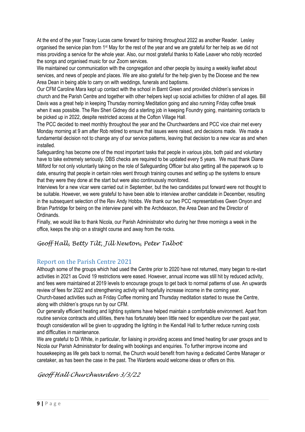At the end of the year Tracey Lucas came forward for training throughout 2022 as another Reader. Lesley organised the service plan from 1st May for the rest of the year and we are grateful for her help as we did not miss providing a service for the whole year. Also, our most grateful thanks to Katie Leaver who nobly recorded the songs and organised music for our Zoom services.

We maintained our communication with the congregation and other people by issuing a weekly leaflet about services, and news of people and places. We are also grateful for the help given by the Diocese and the new Area Dean in being able to carry on with weddings, funerals and baptisms.

Our CFM Caroline Mara kept up contact with the school in Barnt Green and provided children's services in church and the Parish Centre and together with other helpers kept up social activities for children of all ages. Bill Davis was a great help in keeping Thursday morning Meditation going and also running Friday coffee break when it was possible. The Rev Sheri Gidney did a sterling job in keeping Foundry going, maintaining contacts to be picked up in 2022, despite restricted access at the Cofton Village Hall.

The PCC decided to meet monthly throughout the year and the Churchwardens and PCC vice chair met every Monday morning at 9 am after Rob retired to ensure that issues were raised, and decisions made. We made a fundamental decision not to change any of our service patterns, leaving that decision to a new vicar as and when installed.

Safeguarding has become one of the most important tasks that people in various jobs, both paid and voluntary have to take extremely seriously. DBS checks are required to be updated every 5 years. We must thank Diane Milford for not only voluntarily taking on the role of Safeguarding Officer but also getting all the paperwork up to date, ensuring that people in certain roles went through training courses and setting up the systems to ensure that they were they done at the start but were also continuously monitored.

Interviews for a new vicar were carried out in September, but the two candidates put forward were not thought to be suitable. However, we were grateful to have been able to interview another candidate in December, resulting in the subsequent selection of the Rev Andy Hobbs. We thank our two PCC representatives Gwen Onyon and Brian Partridge for being on the interview panel with the Archdeacon, the Area Dean and the Director of Ordinands.

Finally, we would like to thank Nicola, our Parish Administrator who during her three mornings a week in the office, keeps the ship on a straight course and away from the rocks.

# *Geoff Hall, Betty Tilt, Jill Newton, Peter Talbot*

# Report on the Parish Centre 2021

Although some of the groups which had used the Centre prior to 2020 have not returned, many began to re-start activities in 2021 as Covid 19 restrictions were eased. However, annual income was still hit by reduced activity, and fees were maintained at 2019 levels to encourage groups to get back to normal patterns of use. An upwards review of fees for 2022 and strengthening activity will hopefully increase income in the coming year. Church-based activities such as Friday Coffee morning and Thursday meditation started to reuse the Centre, along with children's groups run by our CFM.

Our generally efficient heating and lighting systems have helped maintain a comfortable environment. Apart from routine service contracts and utilities, there has fortunately been little need for expenditure over the past year, though consideration will be given to upgrading the lighting in the Kendall Hall to further reduce running costs and difficulties in maintenance.

We are grateful to Di White, in particular, for liaising in providing access and timed heating for user groups and to Nicola our Parish Administrator for dealing with bookings and enquiries. To further improve income and housekeeping as life gets back to normal, the Church would benefit from having a dedicated Centre Manager or caretaker, as has been the case in the past. The Wardens would welcome ideas or offers on this.

# *Geoff Hall Churchwarden 3/3/22*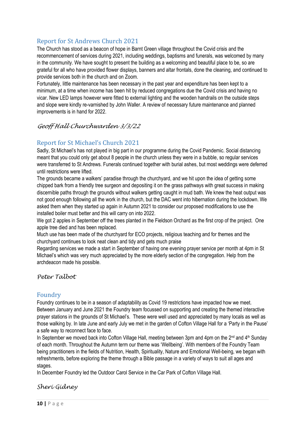# Report for St Andrews Church 2021

The Church has stood as a beacon of hope in Barnt Green village throughout the Covid crisis and the recommencement of services during 2021, including weddings, baptisms and funerals, was welcomed by many in the community. We have sought to present the building as a welcoming and beautiful place to be, so are grateful for all who have provided flower displays, banners and altar frontals, done the cleaning, and continued to provide services both in the church and on Zoom.

Fortunately, little maintenance has been necessary in the past year and expenditure has been kept to a minimum, at a time when income has been hit by reduced congregations due the Covid crisis and having no vicar. New LED lamps however were fitted to external lighting and the wooden handrails on the outside steps and slope were kindly re-varnished by John Waller. A review of necessary future maintenance and planned improvements is in hand for 2022.

# *Geoff Hall Churchwarden 3/3/22*

# Report for St Michael's Church 2021

Sadly, St Michael's has not played in big part in our programme during the Covid Pandemic. Social distancing meant that you could only get about 8 people in the church unless they were in a bubble, so regular services were transferred to St Andrews. Funerals continued together with burial ashes, but most weddings were deferred until restrictions were lifted.

The grounds became a walkers' paradise through the churchyard, and we hit upon the idea of getting some chipped bark from a friendly tree surgeon and depositing it on the grass pathways with great success in making discernible paths through the grounds without walkers getting caught in mud bath. We knew the heat output was not good enough following all the work in the church, but the DAC went into hibernation during the lockdown. We asked them when they started up again in Autumn 2021 to consider our proposed modifications to use the installed boiler must better and this will carry on into 2022.

We got 2 apples in September off the trees planted in the Fieldson Orchard as the first crop of the project. One apple tree died and has been replaced.

Much use has been made of the churchyard for ECO projects, religious teaching and for themes and the churchyard continues to look neat clean and tidy and gets much praise

Regarding services we made a start in September of having one evening prayer service per month at 4pm in St Michael's which was very much appreciated by the more elderly section of the congregation. Help from the archdeacon made his possible.

## *Peter Talbot*

## Foundry

Foundry continues to be in a season of adaptability as Covid 19 restrictions have impacted how we meet. Between January and June 2021 the Foundry team focussed on supporting and creating the themed interactive prayer stations in the grounds of St Michael's. These were well used and appreciated by many locals as well as those walking by. In late June and early July we met in the garden of Cofton Village Hall for a 'Party in the Pause' a safe way to reconnect face to face.

In September we moved back into Cofton Village Hall, meeting between 3pm and 4pm on the 2<sup>nd</sup> and 4<sup>th</sup> Sunday of each month. Throughout the Autumn term our theme was 'Wellbeing'. With members of the Foundry Team being practitioners in the fields of Nutrition, Health, Spirituality, Nature and Emotional Well-being, we began with refreshments, before exploring the theme through a Bible passage in a variety of ways to suit all ages and stages.

In December Foundry led the Outdoor Carol Service in the Car Park of Cofton Village Hall.

## *Sheri Gidney*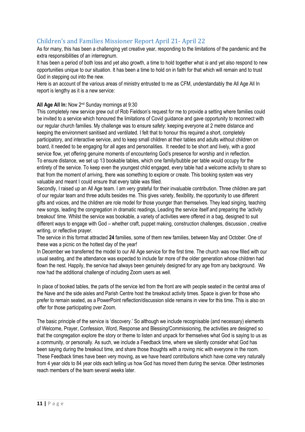# Children's and Families Missioner Report April 21- April 22

As for many, this has been a challenging yet creative year, responding to the limitations of the pandemic and the extra responsibilities of an interregnum.

It has been a period of both loss and yet also growth, a time to hold together what *is* and yet also respond to new opportunities unique to our situation. It has been a time to hold on in faith for that which will remain and to trust God in stepping out into the new.

Here is an account of the various areas of ministry entrusted to me as CFM, understandably the All Age All In report is lengthy as it is a new service:

## **All Age All In:** Now 2nd Sunday mornings at 9:30

This completely new service grew out of Rob Fieldson's request for me to provide a setting where families could be invited to a service which honoured the limitations of Covid guidance and gave opportunity to reconnect with our regular church families. My challenge was to ensure safety: keeping everyone at 2 metre distance and keeping the environment sanitised and ventilated. I felt that to honour this required a short, completely participatory, and interactive service, and to keep small children at their tables and adults without children on board, it needed to be engaging for all ages and personalities. It needed to be short and lively, with a good service flow, yet offering genuine moments of encountering God's presence for worship and in reflection. To ensure distance, we set up 13 bookable tables, which one family/bubble per table would occupy for the entirety of the service. To keep even the youngest child engaged, every table had a welcome activity to share so that from the moment of arriving, there was something to explore or create. This booking system was very valuable and meant I could ensure that every table was filled.

Secondly, I raised up an All Age team. I am very grateful for their invaluable contribution. Three children are part of our regular team and three adults besides me. This gives variety, flexibility, the opportunity to use different gifts and voices, and the children are role model for those younger than themselves. They lead singing, teaching new songs, leading the congregation in dramatic readings, Leading the service itself and preparing the 'activity breakout' time. Whilst the service was bookable, a variety of activities were offered in a bag, designed to suit different ways to engage with God – whether craft, puppet making, construction challenges, discussion , creative writing, or reflective prayer.

The service in this format attracted **24** families, some of them new families, between May and October. One of these was a picnic on the hottest day of the year!

In December we transferred the model to our All Age service for the first time. The church was now filled with our usual seating, and the attendance was expected to include far more of the older generation whose children had flown the nest. Happily, the service had always been genuinely designed for any age from any background. We now had the additional challenge of including Zoom users as well.

In place of booked tables, the parts of the service led from the front are with people seated in the central area of the Nave and the side aisles and Parish Centre host the breakout activity times. Space is given for those who prefer to remain seated, as a PowerPoint reflection/discussion slide remains in view for this time. This is also on offer for those participating over Zoom.

The basic principle of the service is 'discovery.' So although we include recognisable (and necessary) elements of Welcome, Prayer, Confession, Word, Response and Blessing/Commissioning, the activities are designed so that the congregation explore the story or theme to listen and unpack for themselves what God is saying to us as a community, or personally. As such, we include a Feedback time, where we silently consider what God has been saying during the breakout time, and share those thoughts with a roving mic with everyone in the room. These Feedback times have been very moving, as we have heard contributions which have come very naturally from 4 year olds to 84 year olds each telling us how God has moved them during the service. Other testimonies reach members of the team several weeks later.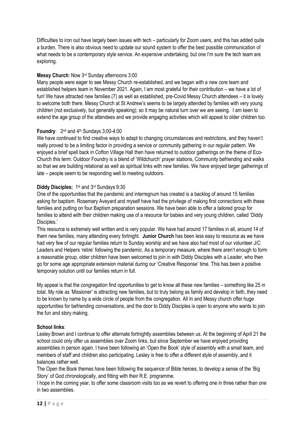Difficulties to iron out have largely been issues with tech – particularly for Zoom users, and this has added quite a burden. There is also obvious need to update our sound system to offer the best possible communication of what needs to be a contemporary style service. An expensive undertaking, but one I'm sure the tech team are exploring.

#### **Messy Church**: Now 3rd Sunday afternoons 3:00

Many people were eager to see Messy Church re-established, and we began with a new core team and established helpers team in November 2021. Again, I am most grateful for their contribution – we have a lot of fun! We have attracted new families (7) as well as established, pre-Covid Messy Church attendees – it is lovely to welcome both there. Messy Church at St Andrew's seems to be largely attended by families with very young children (not exclusively, but generally speaking); so it may be natural turn over we are seeing. I am keen to extend the age group of the attendees and we provide engaging activities which will appeal to older children too.

## **Foundry**: 2nd and 4th Sundays 3:00-4:00

We have continued to find creative ways to adapt to changing circumstances and restrictions, and they haven't really proved to be a limiting factor in providing a service or community gathering in our regular pattern. We enjoyed a brief spell back in Cofton Village Hall then have returned to outdoor gatherings on the theme of Eco-Church this term. Outdoor Foundry is a blend of 'Wildchurch' prayer stations, Community befriending and walks so that we are building relational as well as spiritual links with new families. We have enjoyed larger gatherings of late – people seem to be responding well to meeting outdoors.

## Diddy Disciples: 1<sup>st</sup> and 3<sup>rd</sup> Sundays 9:30

One of the opportunities that the pandemic and interregnum has created is a backlog of around 15 families asking for baptism. Rosemary Aveyard and myself have had the privilege of making first connections with these families and putting on four Baptism preparation sessions. We have been able to offer a tailored group for families to attend with their children making use of a resource for babies and very young children, called 'Diddy Disciples.'

This resource is extremely well written and is very popular. We have had around 17 families in all, around 14 of them new families, many attending every fortnight. **Junior Church** has been less easy to resource as we have had very few of our regular families return to Sunday worship and we have also had most of our volunteer J/C Leaders and Helpers 'retire' following the pandemic. As a temporary measure, where there aren't enough to form a reasonable group, older children have been welcomed to join in with Diddy Disciples with a Leader, who then go for some age appropriate extension material during our 'Creative Response' time. This has been a positive temporary solution until our families return in full.

My appeal is that the congregation find opportunities to get to know all these new families – something like 25 in total. My role as 'Missioner' is attracting new families, but to truly belong as family and develop in faith, they need to be known by name by a wide circle of people from the congregation. All In and Messy church offer huge opportunities for befriending conversations, and the door to Diddy Disciples is open to anyone who wants to join the fun and story making.

#### **School links**:

Lesley Brown and I continue to offer alternate fortnightly assemblies between us. At the beginning of April 21 the school could only offer us assemblies over Zoom links, but since September we have enjoyed providing assemblies in person again. I have been following an 'Open the Book' style of assembly with a small team, and members of staff and children also participating. Lesley is free to offer a different style of assembly, and it balances rather well.

The Open the Book themes have been following the sequence of Bible heroes, to develop a sense of the 'Big Story' of God chronologically, and fitting with their R.E. programme.

I hope in the coming year, to offer some classroom visits too as we revert to offering one in three rather than one in two assemblies.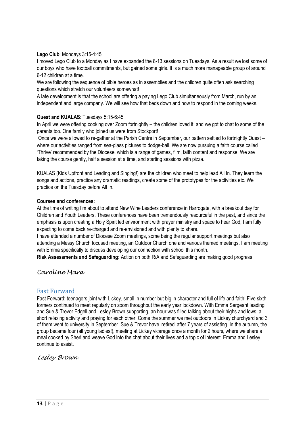#### **Lego Club**: Mondays 3:15-4:45

I moved Lego Club to a Monday as I have expanded the 8-13 sessions on Tuesdays. As a result we lost some of our boys who have football commitments, but gained some girls. It is a much more manageable group of around 6-12 children at a time.

We are following the sequence of bible heroes as in assemblies and the children quite often ask searching questions which stretch our volunteers somewhat!

A late development is that the school are offering a paying Lego Club simultaneously from March, run by an independent and large company. We will see how that beds down and how to respond in the coming weeks.

#### **Quest and KUALAS**: Tuesdays 5:15-6:45

In April we were offering cooking over Zoom fortnightly – the children loved it, and we got to chat to some of the parents too. One family who joined us were from Stockport!

Once we were allowed to re-gather at the Parish Centre in September, our pattern settled to fortnightly Quest – where our activities ranged from sea-glass pictures to dodge-ball. We are now pursuing a faith course called 'Thrive' recommended by the Diocese, which is a range of games, film, faith content and response. We are taking the course gently, half a session at a time, and starting sessions with pizza.

KUALAS (Kids Upfront and Leading and Singing!) are the children who meet to help lead All In. They learn the songs and actions, practice any dramatic readings, create some of the prototypes for the activities etc. We practice on the Tuesday before All In.

#### **Courses and conferences:**

At the time of writing I'm about to attend New Wine Leaders conference in Harrogate, with a breakout day for Children and Youth Leaders. These conferences have been tremendously resourceful in the past, and since the emphasis is upon creating a Holy Spirit led environment with prayer ministry and space to hear God, I am fully expecting to come back re-charged and re-envisioned and with plenty to share.

I have attended a number of Diocese Zoom meetings, some being the regular support meetings but also attending a Messy Church focused meeting, an Outdoor Church one and various themed meetings. I am meeting with Emma specifically to discuss developing our connection with school this month.

**Risk Assessments and Safeguarding:** Action on both R/A and Safeguarding are making good progress

*Caroline Mara*

## Fast Forward

Fast Forward: teenagers joint with Lickey, small in number but big in character and full of life and faith! Five sixth formers continued to meet regularly on zoom throughout the early year lockdown. With Emma Sergeant leading and Sue & Trevor Edgell and Lesley Brown supporting, an hour was filled talking about their highs and lows, a short relaxing activity and praying for each other. Come the summer we met outdoors in Lickey churchyard and 3 of them went to university in September. Sue & Trevor have 'retired' after 7 years of assisting. In the autumn, the group became four (all young ladies!), meeting at Lickey vicarage once a month for 2 hours, where we share a meal cooked by Sheri and weave God into the chat about their lives and a topic of interest. Emma and Lesley continue to assist.

*Lesley Brown*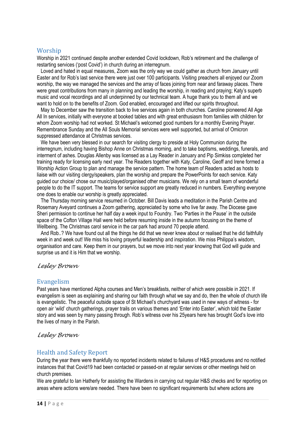## Worship

Worship in 2021 continued despite another extended Covid lockdown, Rob's retirement and the challenge of restarting services ('post Covid') in church during an interregnum.

 Loved and hated in equal measures, Zoom was the only way we could gather as church from January until Easter and for Rob's last service there were just over 100 participants. Visiting preachers all enjoyed our Zoom worship, the way we managed the services and the array of faces joining from near and faraway places. There were great contributions from many in planning and leading the worship, in reading and praying; Katy's superb music and vocal recordings and all underpinned by our technical team. A huge thank you to them all and we want to hold on to the benefits of Zoom. God enabled, encouraged and lifted our spirits throughout.

 May to December saw the transition back to live services again in both churches. Caroline pioneered All Age All In services, initially with everyone at booked tables and with great enthusiasm from families with children for whom Zoom worship had not worked. St Michael's welcomed good numbers for a monthly Evening Prayer. Remembrance Sunday and the All Souls Memorial services were well supported, but arrival of Omicron suppressed attendance at Christmas services.

We have been very blessed in our search for visiting clergy to preside at Holy Communion during the interregnum, including having Bishop Anne on Christmas morning, and to take baptisms, weddings, funerals, and interment of ashes. Douglas Allenby was licensed as a Lay Reader in January and Pip Simkiss completed her training ready for licensing early next year. The Readers together with Katy, Caroline, Geoff and Irene formed a Worship Action Group to plan and manage the service pattern. The home team of Readers acted as hosts to liaise with our visiting clergy/speakers, plan the worship and prepare the PowerPoints for each service. Katy guided our choice/ chose our music/played/organised other musicians. We rely on a small team of wonderful people to do the IT support. The teams for service support are greatly reduced in numbers. Everything everyone one does to enable our worship is greatly appreciated.

 The Thursday morning service resumed in October. Bill Davis leads a meditation in the Parish Centre and Rosemary Aveyard continues a Zoom gathering, appreciated by some who live far away. The Diocese gave Sheri permission to continue her half day a week input to Foundry. Two 'Parties in the Pause' in the outside space of the Cofton Village Hall were held before resuming inside in the autumn focusing on the theme of Wellbeing. The Christmas carol service in the car park had around 70 people attend.

 And Rob..? We have found out all the things he did that we never knew about or realised that he did faithfully week in and week out! We miss his loving prayerful leadership and inspiration. We miss Philippa's wisdom, organisation and care. Keep them in our prayers, but we move into next year knowing that God will guide and surprise us and it is Him that we worship.

#### *Lesley Brown*

## Evangelism

Past years have mentioned Alpha courses and Men's breakfasts, neither of which were possible in 2021. If evangelism is seen as explaining and sharing our faith through what we say and do, then the whole of church life is evangelistic. The peaceful outside space of St Michael's churchyard was used in new ways of witness - for open air 'wild' church gatherings, prayer trails on various themes and 'Enter into Easter', which told the Easter story and was seen by many passing through. Rob's witness over his 25years here has brought God's love into the lives of many in the Parish.

*Lesley Brown*

## Health and Safety Report

During the year there were thankfully no reported incidents related to failures of H&S procedures and no notified instances that that Covid19 had been contacted or passed-on at regular services or other meetings held on church premises.

We are grateful to Ian Hatherly for assisting the Wardens in carrying out regular H&S checks and for reporting on areas where actions were/are needed. There have been no significant requirements but where actions are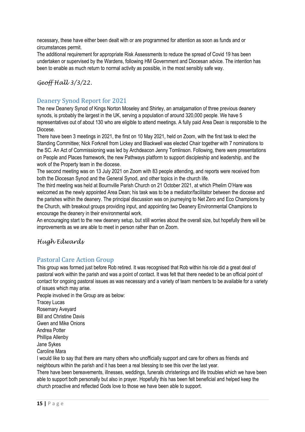necessary, these have either been dealt with or are programmed for attention as soon as funds and or circumstances permit.

The additional requirement for appropriate Risk Assessments to reduce the spread of Covid 19 has been undertaken or supervised by the Wardens, following HM Government and Diocesan advice. The intention has been to enable as much return to normal activity as possible, in the most sensibly safe way.

# *Geoff Hall 3/3/22.*

# Deanery Synod Report for 2021

The new Deanery Synod of Kings Norton Moseley and Shirley, an amalgamation of three previous deanery synods, is probably the largest in the UK, serving a population of around 320,000 people. We have 5 representatives out of about 130 who are eligible to attend meetings. A fully paid Area Dean is responsible to the Diocese.

There have been 3 meetings in 2021, the first on 10 May 2021, held on Zoom, with the first task to elect the Standing Committee; Nick Forknell from Lickey and Blackwell was elected Chair together with 7 nominations to the SC. An Act of Commissioning was led by Archdeacon Jenny Tomlinson. Following, there were presentations on People and Places framework, the new Pathways platform to support discipleship and leadership, and the work of the Property team in the diocese.

The second meeting was on 13 July 2021 on Zoom with 83 people attending, and reports were received from both the Diocesan Synod and the General Synod, and other topics in the church life.

The third meeting was held at Bournville Parish Church on 21 October 2021, at which Phelim O'Hare was welcomed as the newly appointed Area Dean; his task was to be a mediator/facilitator between the diocese and the parishes within the deanery. The principal discussion was on journeying to Net Zero and Eco Champions by the Church, with breakout groups providing input, and appointing two Deanery Environmental Champions to encourage the deanery in their environmental work.

An encouraging start to the new deanery setup, but still worries about the overall size, but hopefully there will be improvements as we are able to meet in person rather than on Zoom.

## *Hugh Edwards*

## Pastoral Care Action Group

This group was formed just before Rob retired. It was recognised that Rob within his role did a great deal of pastoral work within the parish and was a point of contact. It was felt that there needed to be an official point of contact for ongoing pastoral issues as was necessary and a variety of team members to be available for a variety of issues which may arise.

People involved in the Group are as below: Tracey Lucas Rosemary Aveyard Bill and Christine Davis Gwen and Mike Onions Andrea Potter Phillipa Allenby Jane Sykes Caroline Mara

I would like to say that there are many others who unofficially support and care for others as friends and neighbours within the parish and it has been a real blessing to see this over the last year.

There have been bereavements, illnesses, weddings, funerals christenings and life troubles which we have been able to support both personally but also in prayer. Hopefully this has been felt beneficial and helped keep the church proactive and reflected Gods love to those we have been able to support.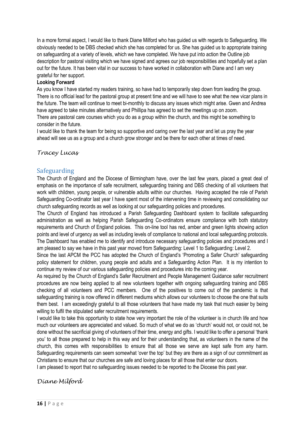In a more formal aspect, I would like to thank Diane Milford who has guided us with regards to Safeguarding. We obviously needed to be DBS checked which she has completed for us. She has guided us to appropriate training on safeguarding at a variety of levels, which we have completed. We have put into action the Outline job description for pastoral visiting which we have signed and agrees our job responsibilities and hopefully set a plan out for the future. It has been vital in our success to have worked in collaboration with Diane and I am very grateful for her support.

#### **Looking Forward**

As you know I have started my readers training, so have had to temporarily step down from leading the group. There is no official lead for the pastoral group at present time and we will have to see what the new vicar plans in the future. The team will continue to meet bi-monthly to discuss any issues which might arise. Gwen and Andrea have agreed to take minutes alternatively and Phillipa has agreed to set the meetings up on zoom. There are pastoral care courses which you do as a group within the church, and this might be something to consider in the future.

I would like to thank the team for being so supportive and caring over the last year and let us pray the year ahead will see us as a group and a church grow stronger and be there for each other at times of need.

## *Tracey Lucas*

# Safeguarding

The Church of England and the Diocese of Birmingham have, over the last few years, placed a great deal of emphasis on the importance of safe recruitment, safeguarding training and DBS checking of all volunteers that work with children, young people, or vulnerable adults within our churches. Having accepted the role of Parish Safeguarding Co-ordinator last year I have spent most of the intervening time in reviewing and consolidating our church safeguarding records as well as looking at our safeguarding policies and procedures.

The Church of England has introduced a Parish Safeguarding Dashboard system to facilitate safeguarding administration as well as helping Parish Safeguarding Co-ordinators ensure compliance with both statutory requirements and Church of England policies. This on-line tool has red, amber and green lights showing action points and level of urgency as well as including levels of compliance to national and local safeguarding protocols. The Dashboard has enabled me to identify and introduce necessary safeguarding policies and procedures and I am pleased to say we have in this past year moved from Safeguarding: Level 1 to Safeguarding: Level 2.

Since the last APCM the PCC has adopted the Church of England's 'Promoting a Safer Church' safeguarding policy statement for children, young people and adults and a Safeguarding Action Plan. It is my intention to continue my review of our various safeguarding policies and procedures into the coming year.

As required by the Church of England's Safer Recruitment and People Management Guidance safer recruitment procedures are now being applied to all new volunteers together with ongoing safeguarding training and DBS checking of all volunteers and PCC members. One of the positives to come out of the pandemic is that safeguarding training is now offered in different mediums which allows our volunteers to choose the one that suits them best. I am exceedingly grateful to all those volunteers that have made my task that much easier by being willing to fulfil the stipulated safer recruitment requirements.

I would like to take this opportunity to state how very important the role of the volunteer is in church life and how much our volunteers are appreciated and valued. So much of what we do as 'church' would not, or could not, be done without the sacrificial giving of volunteers of their time, energy and gifts. I would like to offer a personal 'thank you' to all those prepared to help in this way and for their understanding that, as volunteers in the name of the church, this comes with responsibilities to ensure that all those we serve are kept safe from any harm. Safeguarding requirements can seem somewhat 'over the top' but they are there as a sign of our commitment as Christians to ensure that our churches are safe and loving places for all those that enter our doors.

I am pleased to report that no safeguarding issues needed to be reported to the Diocese this past year.

*Diane Milford*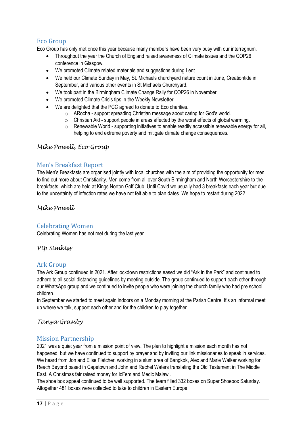# Eco Group

Eco Group has only met once this year because many members have been very busy with our interregnum.

- Throughout the year the Church of England raised awareness of Climate issues and the COP26 conference in Glasgow.
- We promoted Climate related materials and suggestions during Lent.
- We held our Climate Sunday in May, St. Michaels churchyard nature count in June, Creationtide in September, and various other events in St Michaels Churchyard.
- We took part in the Birmingham Climate Change Rally for COP26 in November
- We promoted Climate Crisis tips in the Weekly Newsletter
- We are delighted that the PCC agreed to donate to Eco charities.
	- o ARocha support spreading Christian message about caring for God's world.
	- o Christian Aid support people in areas affected by the worst effects of global warming.
	- o Renewable World supporting initiatives to enable readily accessible renewable energy for all, helping to end extreme poverty and mitigate climate change consequences.

# *Mike Powell, Eco Group*

# Men's Breakfast Report

The Men's Breakfasts are organised jointly with local churches with the aim of providing the opportunity for men to find out more about Christianity. Men come from all over South Birmingham and North Worcestershire to the breakfasts, which are held at Kings Norton Golf Club. Until Covid we usually had 3 breakfasts each year but due to the uncertainty of infection rates we have not felt able to plan dates. We hope to restart during 2022.

*Mike Powell*

# Celebrating Women

Celebrating Women has not met during the last year.

*Pip Simkiss*

# Ark Group

The Ark Group continued in 2021. After lockdown restrictions eased we did "Ark in the Park" and continued to adhere to all social distancing guidelines by meeting outside. The group continued to support each other through our WhatsApp group and we continued to invite people who were joining the church family who had pre school children.

In September we started to meet again indoors on a Monday morning at the Parish Centre. It's an informal meet up where we talk, support each other and for the children to play together.

## *Tanya Grassby*

# Mission Partnership

2021 was a quiet year from a mission point of view. The plan to highlight a mission each month has not happened, but we have continued to support by prayer and by inviting our link missionaries to speak in services. We heard from Jon and Elise Fletcher, working in a slum area of Bangkok, Alex and Marie Walker working for Reach Beyond based in Capetown and John and Rachel Waters translating the Old Testament in The Middle East. A Christmas fair raised money for IcFem and Medic Malawi.

The shoe box appeal continued to be well supported. The team filled 332 boxes on Super Shoebox Saturday. Altogether 481 boxes were collected to take to children in Eastern Europe.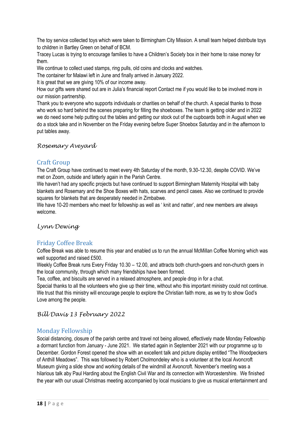The toy service collected toys which were taken to Birmingham City Mission. A small team helped distribute toys to children in Bartley Green on behalf of BCM.

Tracey Lucas is trying to encourage families to have a Children's Society box in their home to raise money for them.

We continue to collect used stamps, ring pulls, old coins and clocks and watches.

The container for Malawi left in June and finally arrived in January 2022.

It is great that we are giving 10% of our income away.

How our gifts were shared out are in Julia's financial report Contact me if you would like to be involved more in our mission partnership.

Thank you to everyone who supports individuals or charities on behalf of the church. A special thanks to those who work so hard behind the scenes preparing for filling the shoeboxes. The team is getting older and in 2022 we do need some help putting out the tables and getting our stock out of the cupboards both in August when we do a stock take and in November on the Friday evening before Super Shoebox Saturday and in the afternoon to put tables away.

# *Rosemary Aveyard*

# Craft Group

The Craft Group have continued to meet every 4th Saturday of the month, 9.30-12.30, despite COVID. We've met on Zoom, outside and latterly again in the Parish Centre.

We haven't had any specific projects but have continued to support Birmingham Maternity Hospital with baby blankets and Rosemary and the Shoe Boxes with hats, scarves and pencil cases. Also we continued to provide squares for blankets that are desperately needed in Zimbabwe.

We have 10-20 members who meet for fellowship as well as ' knit and natter', and new members are always welcome.

## *Lynn Dewing*

# Friday Coffee Break

Coffee Break was able to resume this year and enabled us to run the annual McMillan Coffee Morning which was well supported and raised £500.

Weekly Coffee Break runs Every Friday 10.30 – 12.00, and attracts both church-goers and non-church goers in the local community, through which many friendships have been formed.

Tea, coffee, and biscuits are served in a relaxed atmosphere, and people drop in for a chat.

Special thanks to all the volunteers who give up their time, without who this important ministry could not continue. We trust that this ministry will encourage people to explore the Christian faith more, as we try to show God's Love among the people.

*Bill Davis 13 February 2022*

## Monday Fellowship

Social distancing, closure of the parish centre and travel not being allowed, effectively made Monday Fellowship a dormant function from January - June 2021. We started again in September 2021 with our programme up to December. Gordon Forest opened the show with an excellent talk and picture display entitled "The Woodpeckers of Anthill Meadows". This was followed by Robert Cholmondeley who is a volunteer at the local Avoncroft Museum giving a slide show and working details of the windmill at Avoncroft. November's meeting was a hilarious talk aby Paul Harding about the English Civil War and its connection with Worcestershire. We finished the year with our usual Christmas meeting accompanied by local musicians to give us musical entertainment and